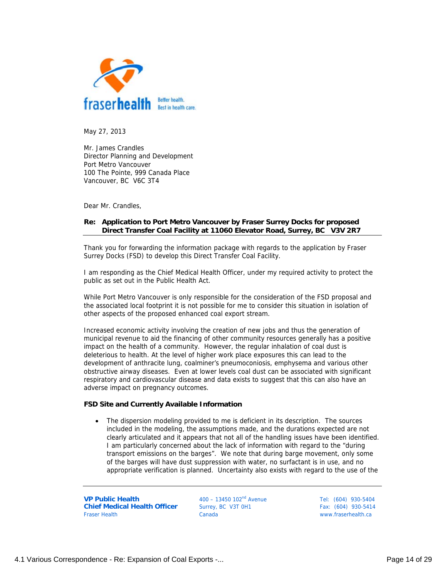

May 27, 2013

Mr. James Crandles Director Planning and Development Port Metro Vancouver 100 The Pointe, 999 Canada Place Vancouver, BC V6C 3T4

Dear Mr. Crandles,

## **Re: Application to Port Metro Vancouver by Fraser Surrey Docks for proposed Direct Transfer Coal Facility at 11060 Elevator Road, Surrey, BC V3V 2R7**

Thank you for forwarding the information package with regards to the application by Fraser Surrey Docks (FSD) to develop this Direct Transfer Coal Facility.

I am responding as the Chief Medical Health Officer, under my required activity to protect the public as set out in the Public Health Act.

While Port Metro Vancouver is only responsible for the consideration of the FSD proposal and the associated local footprint it is not possible for me to consider this situation in isolation of other aspects of the proposed enhanced coal export stream.

Increased economic activity involving the creation of new jobs and thus the generation of municipal revenue to aid the financing of other community resources generally has a positive impact on the health of a community. However, the regular inhalation of coal dust is deleterious to health. At the level of higher work place exposures this can lead to the development of anthracite lung, coalminer's pneumoconiosis, emphysema and various other obstructive airway diseases. Even at lower levels coal dust can be associated with significant respiratory and cardiovascular disease and data exists to suggest that this can also have an adverse impact on pregnancy outcomes.

### **FSD Site and Currently Available Information**

• The dispersion modeling provided to me is deficient in its description. The sources included in the modeling, the assumptions made, and the durations expected are not clearly articulated and it appears that not all of the handling issues have been identified. I am particularly concerned about the lack of information with regard to the "during transport emissions on the barges". We note that during barge movement, only some of the barges will have dust suppression with water, no surfactant is in use, and no appropriate verification is planned. Uncertainty also exists with regard to the use of the

**VP Public Health Chief Medical Health Officer**  Fraser Health

 $400 - 13450 102<sup>nd</sup>$  Avenue Surrey, BC V3T 0H1 Canada

Tel: (604) 930-5404 Fax: (604) 930-5414 www.fraserhealth.ca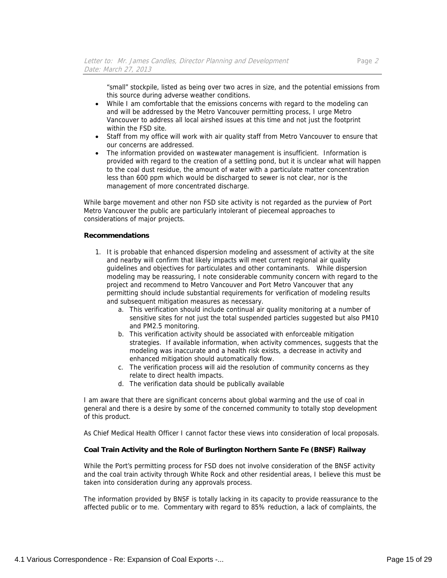"small" stockpile, listed as being over two acres in size, and the potential emissions from this source during adverse weather conditions.

- While I am comfortable that the emissions concerns with regard to the modeling can and will be addressed by the Metro Vancouver permitting process, I urge Metro Vancouver to address all local airshed issues at this time and not just the footprint within the FSD site.
- Staff from my office will work with air quality staff from Metro Vancouver to ensure that our concerns are addressed.
- The information provided on wastewater management is insufficient. Information is provided with regard to the creation of a settling pond, but it is unclear what will happen to the coal dust residue, the amount of water with a particulate matter concentration less than 600 ppm which would be discharged to sewer is not clear, nor is the management of more concentrated discharge.

While barge movement and other non FSD site activity is not regarded as the purview of Port Metro Vancouver the public are particularly intolerant of piecemeal approaches to considerations of major projects.

### **Recommendations**

- 1. It is probable that enhanced dispersion modeling and assessment of activity at the site and nearby will confirm that likely impacts will meet current regional air quality guidelines and objectives for particulates and other contaminants. While dispersion modeling may be reassuring, I note considerable community concern with regard to the project and recommend to Metro Vancouver and Port Metro Vancouver that any permitting should include substantial requirements for verification of modeling results and subsequent mitigation measures as necessary.
	- a. This verification should include continual air quality monitoring at a number of sensitive sites for not just the total suspended particles suggested but also PM10 and PM2.5 monitoring.
	- b. This verification activity should be associated with enforceable mitigation strategies. If available information, when activity commences, suggests that the modeling was inaccurate and a health risk exists, a decrease in activity and enhanced mitigation should automatically flow.
	- c. The verification process will aid the resolution of community concerns as they relate to direct health impacts.
	- d. The verification data should be publically available

I am aware that there are significant concerns about global warming and the use of coal in general and there is a desire by some of the concerned community to totally stop development of this product.

As Chief Medical Health Officer I cannot factor these views into consideration of local proposals.

# **Coal Train Activity and the Role of Burlington Northern Sante Fe (BNSF) Railway**

While the Port's permitting process for FSD does not involve consideration of the BNSF activity and the coal train activity through White Rock and other residential areas, I believe this must be taken into consideration during any approvals process.

The information provided by BNSF is totally lacking in its capacity to provide reassurance to the affected public or to me. Commentary with regard to 85% reduction, a lack of complaints, the